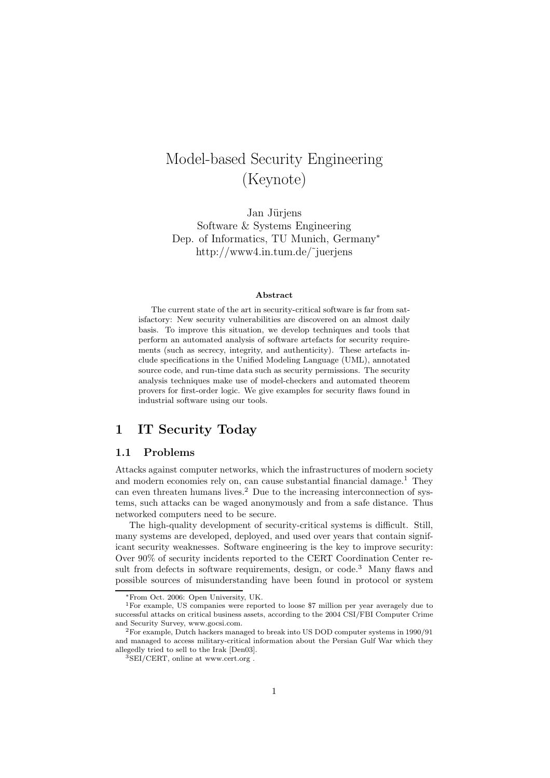# Model-based Security Engineering (Keynote)

Jan Jürjens Software & Systems Engineering Dep. of Informatics, TU Munich, Germany<sup>∗</sup> http://www4.in.tum.de/˜juerjens

#### Abstract

The current state of the art in security-critical software is far from satisfactory: New security vulnerabilities are discovered on an almost daily basis. To improve this situation, we develop techniques and tools that perform an automated analysis of software artefacts for security requirements (such as secrecy, integrity, and authenticity). These artefacts include specifications in the Unified Modeling Language (UML), annotated source code, and run-time data such as security permissions. The security analysis techniques make use of model-checkers and automated theorem provers for first-order logic. We give examples for security flaws found in industrial software using our tools.

## 1 IT Security Today

#### 1.1 Problems

Attacks against computer networks, which the infrastructures of modern society and modern economies rely on, can cause substantial financial damage.<sup>1</sup> They can even threaten humans lives.<sup>2</sup> Due to the increasing interconnection of systems, such attacks can be waged anonymously and from a safe distance. Thus networked computers need to be secure.

The high-quality development of security-critical systems is difficult. Still, many systems are developed, deployed, and used over years that contain significant security weaknesses. Software engineering is the key to improve security: Over 90% of security incidents reported to the CERT Coordination Center result from defects in software requirements, design, or code.<sup>3</sup> Many flaws and possible sources of misunderstanding have been found in protocol or system

<sup>∗</sup>From Oct. 2006: Open University, UK.

<sup>1</sup>For example, US companies were reported to loose \$7 million per year averagely due to successful attacks on critical business assets, according to the 2004 CSI/FBI Computer Crime and Security Survey, www.gocsi.com.

<sup>2</sup>For example, Dutch hackers managed to break into US DOD computer systems in 1990/91 and managed to access military-critical information about the Persian Gulf War which they allegedly tried to sell to the Irak [Den03].

<sup>3</sup>SEI/CERT, online at www.cert.org .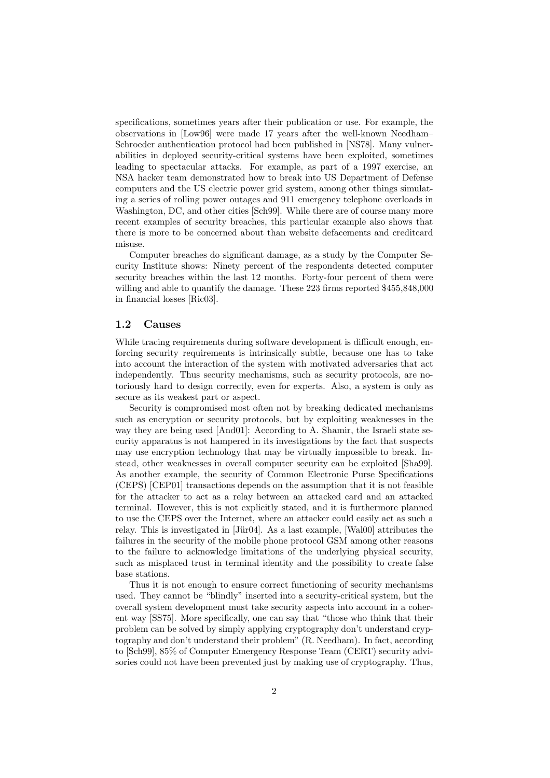specifications, sometimes years after their publication or use. For example, the observations in [Low96] were made 17 years after the well-known Needham– Schroeder authentication protocol had been published in [NS78]. Many vulnerabilities in deployed security-critical systems have been exploited, sometimes leading to spectacular attacks. For example, as part of a 1997 exercise, an NSA hacker team demonstrated how to break into US Department of Defense computers and the US electric power grid system, among other things simulating a series of rolling power outages and 911 emergency telephone overloads in Washington, DC, and other cities [Sch99]. While there are of course many more recent examples of security breaches, this particular example also shows that there is more to be concerned about than website defacements and creditcard misuse.

Computer breaches do significant damage, as a study by the Computer Security Institute shows: Ninety percent of the respondents detected computer security breaches within the last 12 months. Forty-four percent of them were willing and able to quantify the damage. These 223 firms reported \$455,848,000 in financial losses [Ric03].

#### 1.2 Causes

While tracing requirements during software development is difficult enough, enforcing security requirements is intrinsically subtle, because one has to take into account the interaction of the system with motivated adversaries that act independently. Thus security mechanisms, such as security protocols, are notoriously hard to design correctly, even for experts. Also, a system is only as secure as its weakest part or aspect.

Security is compromised most often not by breaking dedicated mechanisms such as encryption or security protocols, but by exploiting weaknesses in the way they are being used [And01]: According to A. Shamir, the Israeli state security apparatus is not hampered in its investigations by the fact that suspects may use encryption technology that may be virtually impossible to break. Instead, other weaknesses in overall computer security can be exploited [Sha99]. As another example, the security of Common Electronic Purse Specifications (CEPS) [CEP01] transactions depends on the assumption that it is not feasible for the attacker to act as a relay between an attacked card and an attacked terminal. However, this is not explicitly stated, and it is furthermore planned to use the CEPS over the Internet, where an attacker could easily act as such a relay. This is investigated in [Jür04]. As a last example, [Wal00] attributes the failures in the security of the mobile phone protocol GSM among other reasons to the failure to acknowledge limitations of the underlying physical security, such as misplaced trust in terminal identity and the possibility to create false base stations.

Thus it is not enough to ensure correct functioning of security mechanisms used. They cannot be "blindly" inserted into a security-critical system, but the overall system development must take security aspects into account in a coherent way [SS75]. More specifically, one can say that "those who think that their problem can be solved by simply applying cryptography don't understand cryptography and don't understand their problem" (R. Needham). In fact, according to [Sch99], 85% of Computer Emergency Response Team (CERT) security advisories could not have been prevented just by making use of cryptography. Thus,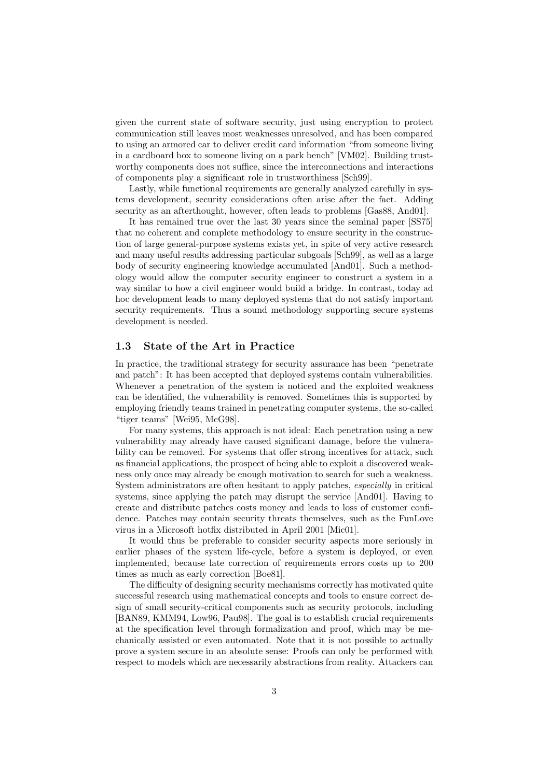given the current state of software security, just using encryption to protect communication still leaves most weaknesses unresolved, and has been compared to using an armored car to deliver credit card information "from someone living in a cardboard box to someone living on a park bench" [VM02]. Building trustworthy components does not suffice, since the interconnections and interactions of components play a significant role in trustworthiness [Sch99].

Lastly, while functional requirements are generally analyzed carefully in systems development, security considerations often arise after the fact. Adding security as an afterthought, however, often leads to problems [Gas88, And01].

It has remained true over the last 30 years since the seminal paper [SS75] that no coherent and complete methodology to ensure security in the construction of large general-purpose systems exists yet, in spite of very active research and many useful results addressing particular subgoals [Sch99], as well as a large body of security engineering knowledge accumulated [And01]. Such a methodology would allow the computer security engineer to construct a system in a way similar to how a civil engineer would build a bridge. In contrast, today ad hoc development leads to many deployed systems that do not satisfy important security requirements. Thus a sound methodology supporting secure systems development is needed.

#### 1.3 State of the Art in Practice

In practice, the traditional strategy for security assurance has been "penetrate and patch": It has been accepted that deployed systems contain vulnerabilities. Whenever a penetration of the system is noticed and the exploited weakness can be identified, the vulnerability is removed. Sometimes this is supported by employing friendly teams trained in penetrating computer systems, the so-called "tiger teams" [Wei95, McG98].

For many systems, this approach is not ideal: Each penetration using a new vulnerability may already have caused significant damage, before the vulnerability can be removed. For systems that offer strong incentives for attack, such as financial applications, the prospect of being able to exploit a discovered weakness only once may already be enough motivation to search for such a weakness. System administrators are often hesitant to apply patches, especially in critical systems, since applying the patch may disrupt the service [And01]. Having to create and distribute patches costs money and leads to loss of customer confidence. Patches may contain security threats themselves, such as the FunLove virus in a Microsoft hotfix distributed in April 2001 [Mic01].

It would thus be preferable to consider security aspects more seriously in earlier phases of the system life-cycle, before a system is deployed, or even implemented, because late correction of requirements errors costs up to 200 times as much as early correction [Boe81].

The difficulty of designing security mechanisms correctly has motivated quite successful research using mathematical concepts and tools to ensure correct design of small security-critical components such as security protocols, including [BAN89, KMM94, Low96, Pau98]. The goal is to establish crucial requirements at the specification level through formalization and proof, which may be mechanically assisted or even automated. Note that it is not possible to actually prove a system secure in an absolute sense: Proofs can only be performed with respect to models which are necessarily abstractions from reality. Attackers can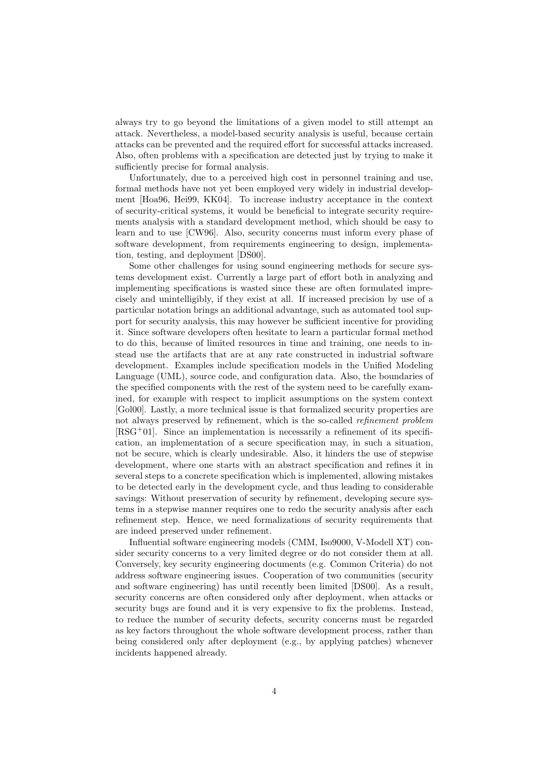always try to go beyond the limitations of a given model to still attempt an attack. Nevertheless, a model-based security analysis is useful, because certain attacks can be prevented and the required effort for successful attacks increased. Also, often problems with a specification are detected just by trying to make it sufficiently precise for formal analysis.

Unfortunately, due to a perceived high cost in personnel training and use, formal methods have not yet been employed very widely in industrial development [Hoa96, Hei99, KK04]. To increase industry acceptance in the context of security-critical systems, it would be beneficial to integrate security requirements analysis with a standard development method, which should be easy to learn and to use [CW96]. Also, security concerns must inform every phase of software development, from requirements engineering to design, implementation, testing, and deployment [DS00].

Some other challenges for using sound engineering methods for secure systems development exist. Currently a large part of effort both in analyzing and implementing specifications is wasted since these are often formulated imprecisely and unintelligibly, if they exist at all. If increased precision by use of a particular notation brings an additional advantage, such as automated tool support for security analysis, this may however be sufficient incentive for providing it. Since software developers often hesitate to learn a particular formal method to do this, because of limited resources in time and training, one needs to instead use the artifacts that are at any rate constructed in industrial software development. Examples include specification models in the Unified Modeling Language (UML), source code, and configuration data. Also, the boundaries of the specified components with the rest of the system need to be carefully examined, for example with respect to implicit assumptions on the system context [Gol00]. Lastly, a more technical issue is that formalized security properties are not always preserved by refinement, which is the so-called refinement problem  $[RSG<sup>+</sup>01]$ . Since an implementation is necessarily a refinement of its specification, an implementation of a secure specification may, in such a situation, not be secure, which is clearly undesirable. Also, it hinders the use of stepwise development, where one starts with an abstract specification and refines it in several steps to a concrete specification which is implemented, allowing mistakes to be detected early in the development cycle, and thus leading to considerable savings: Without preservation of security by refinement, developing secure systems in a stepwise manner requires one to redo the security analysis after each refinement step. Hence, we need formalizations of security requirements that are indeed preserved under refinement.

Influential software engineering models (CMM, Iso9000, V-Modell XT) consider security concerns to a very limited degree or do not consider them at all. Conversely, key security engineering documents (e.g. Common Criteria) do not address software engineering issues. Cooperation of two communities (security and software engineering) has until recently been limited [DS00]. As a result, security concerns are often considered only after deployment, when attacks or security bugs are found and it is very expensive to fix the problems. Instead, to reduce the number of security defects, security concerns must be regarded as key factors throughout the whole software development process, rather than being considered only after deployment (e.g., by applying patches) whenever incidents happened already.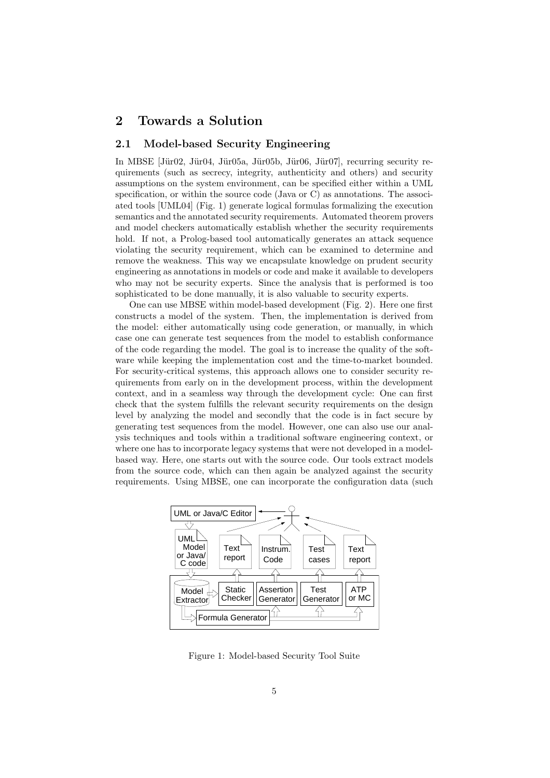## 2 Towards a Solution

#### 2.1 Model-based Security Engineering

In MBSE  $\text{Jür02, Jür04, Jür05a, Jür05b, Jür06, Jür07l, recurring security re$ quirements (such as secrecy, integrity, authenticity and others) and security assumptions on the system environment, can be specified either within a UML specification, or within the source code (Java or C) as annotations. The associated tools [UML04] (Fig. 1) generate logical formulas formalizing the execution semantics and the annotated security requirements. Automated theorem provers and model checkers automatically establish whether the security requirements hold. If not, a Prolog-based tool automatically generates an attack sequence violating the security requirement, which can be examined to determine and remove the weakness. This way we encapsulate knowledge on prudent security engineering as annotations in models or code and make it available to developers who may not be security experts. Since the analysis that is performed is too sophisticated to be done manually, it is also valuable to security experts.

One can use MBSE within model-based development (Fig. 2). Here one first constructs a model of the system. Then, the implementation is derived from the model: either automatically using code generation, or manually, in which case one can generate test sequences from the model to establish conformance of the code regarding the model. The goal is to increase the quality of the software while keeping the implementation cost and the time-to-market bounded. For security-critical systems, this approach allows one to consider security requirements from early on in the development process, within the development context, and in a seamless way through the development cycle: One can first check that the system fulfills the relevant security requirements on the design level by analyzing the model and secondly that the code is in fact secure by generating test sequences from the model. However, one can also use our analysis techniques and tools within a traditional software engineering context, or where one has to incorporate legacy systems that were not developed in a modelbased way. Here, one starts out with the source code. Our tools extract models from the source code, which can then again be analyzed against the security requirements. Using MBSE, one can incorporate the configuration data (such



Figure 1: Model-based Security Tool Suite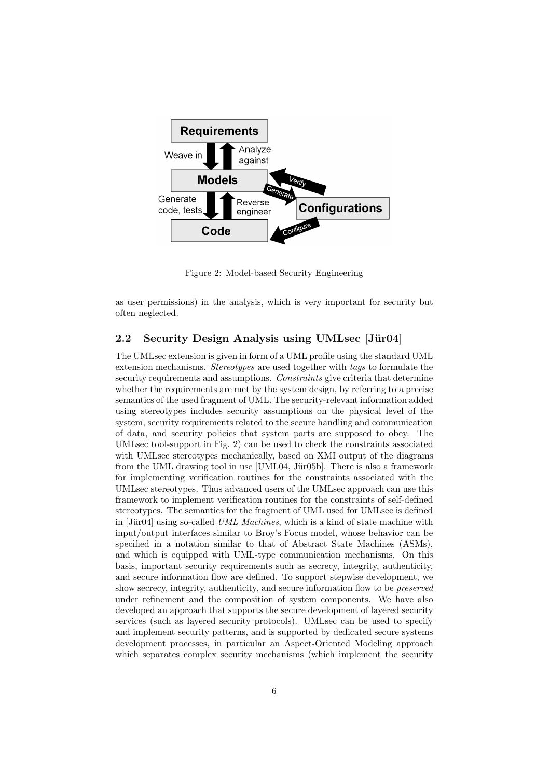

Figure 2: Model-based Security Engineering

as user permissions) in the analysis, which is very important for security but often neglected.

## 2.2 Security Design Analysis using UMLsec [Jür04]

The UMLsec extension is given in form of a UML profile using the standard UML extension mechanisms. Stereotypes are used together with tags to formulate the security requirements and assumptions. Constraints give criteria that determine whether the requirements are met by the system design, by referring to a precise semantics of the used fragment of UML. The security-relevant information added using stereotypes includes security assumptions on the physical level of the system, security requirements related to the secure handling and communication of data, and security policies that system parts are supposed to obey. The UMLsec tool-support in Fig. 2) can be used to check the constraints associated with UMLsec stereotypes mechanically, based on XMI output of the diagrams from the UML drawing tool in use [UML04, Jür05b]. There is also a framework for implementing verification routines for the constraints associated with the UMLsec stereotypes. Thus advanced users of the UMLsec approach can use this framework to implement verification routines for the constraints of self-defined stereotypes. The semantics for the fragment of UML used for UMLsec is defined in  $\text{Jür04}$  using so-called UML Machines, which is a kind of state machine with input/output interfaces similar to Broy's Focus model, whose behavior can be specified in a notation similar to that of Abstract State Machines (ASMs), and which is equipped with UML-type communication mechanisms. On this basis, important security requirements such as secrecy, integrity, authenticity, and secure information flow are defined. To support stepwise development, we show secrecy, integrity, authenticity, and secure information flow to be preserved under refinement and the composition of system components. We have also developed an approach that supports the secure development of layered security services (such as layered security protocols). UMLsec can be used to specify and implement security patterns, and is supported by dedicated secure systems development processes, in particular an Aspect-Oriented Modeling approach which separates complex security mechanisms (which implement the security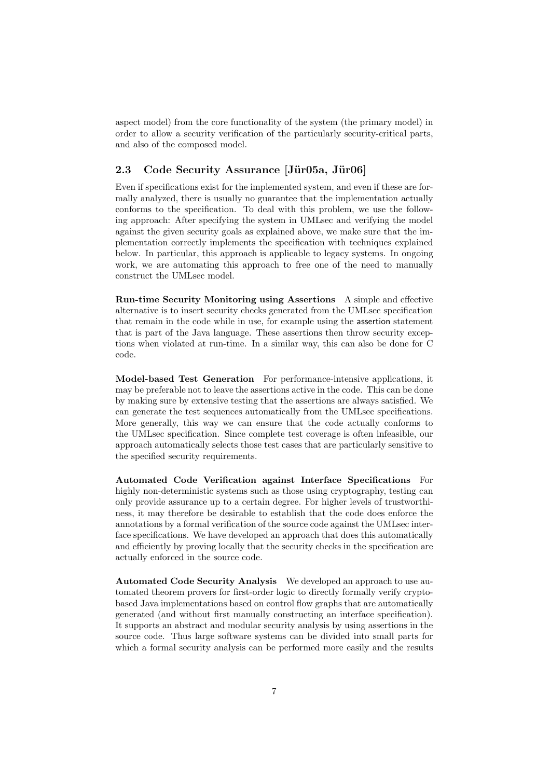aspect model) from the core functionality of the system (the primary model) in order to allow a security verification of the particularly security-critical parts, and also of the composed model.

### 2.3 Code Security Assurance [Jür05a, Jür06]

Even if specifications exist for the implemented system, and even if these are formally analyzed, there is usually no guarantee that the implementation actually conforms to the specification. To deal with this problem, we use the following approach: After specifying the system in UMLsec and verifying the model against the given security goals as explained above, we make sure that the implementation correctly implements the specification with techniques explained below. In particular, this approach is applicable to legacy systems. In ongoing work, we are automating this approach to free one of the need to manually construct the UMLsec model.

Run-time Security Monitoring using Assertions A simple and effective alternative is to insert security checks generated from the UMLsec specification that remain in the code while in use, for example using the assertion statement that is part of the Java language. These assertions then throw security exceptions when violated at run-time. In a similar way, this can also be done for C code.

Model-based Test Generation For performance-intensive applications, it may be preferable not to leave the assertions active in the code. This can be done by making sure by extensive testing that the assertions are always satisfied. We can generate the test sequences automatically from the UMLsec specifications. More generally, this way we can ensure that the code actually conforms to the UMLsec specification. Since complete test coverage is often infeasible, our approach automatically selects those test cases that are particularly sensitive to the specified security requirements.

Automated Code Verification against Interface Specifications For highly non-deterministic systems such as those using cryptography, testing can only provide assurance up to a certain degree. For higher levels of trustworthiness, it may therefore be desirable to establish that the code does enforce the annotations by a formal verification of the source code against the UMLsec interface specifications. We have developed an approach that does this automatically and efficiently by proving locally that the security checks in the specification are actually enforced in the source code.

Automated Code Security Analysis We developed an approach to use automated theorem provers for first-order logic to directly formally verify cryptobased Java implementations based on control flow graphs that are automatically generated (and without first manually constructing an interface specification). It supports an abstract and modular security analysis by using assertions in the source code. Thus large software systems can be divided into small parts for which a formal security analysis can be performed more easily and the results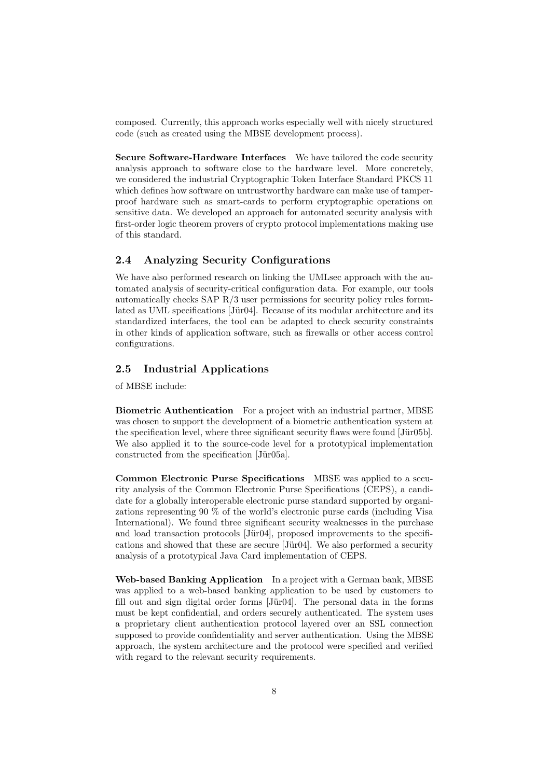composed. Currently, this approach works especially well with nicely structured code (such as created using the MBSE development process).

Secure Software-Hardware Interfaces We have tailored the code security analysis approach to software close to the hardware level. More concretely, we considered the industrial Cryptographic Token Interface Standard PKCS 11 which defines how software on untrustworthy hardware can make use of tamperproof hardware such as smart-cards to perform cryptographic operations on sensitive data. We developed an approach for automated security analysis with first-order logic theorem provers of crypto protocol implementations making use of this standard.

### 2.4 Analyzing Security Configurations

We have also performed research on linking the UMLsec approach with the automated analysis of security-critical configuration data. For example, our tools automatically checks SAP  $R/3$  user permissions for security policy rules formulated as UML specifications  $[\text{Jür04}]$ . Because of its modular architecture and its standardized interfaces, the tool can be adapted to check security constraints in other kinds of application software, such as firewalls or other access control configurations.

### 2.5 Industrial Applications

of MBSE include:

Biometric Authentication For a project with an industrial partner, MBSE was chosen to support the development of a biometric authentication system at the specification level, where three significant security flaws were found  $[\text{Jür05b}]$ . We also applied it to the source-code level for a prototypical implementation constructed from the specification [Jür05a].

Common Electronic Purse Specifications MBSE was applied to a security analysis of the Common Electronic Purse Specifications (CEPS), a candidate for a globally interoperable electronic purse standard supported by organizations representing 90 % of the world's electronic purse cards (including Visa International). We found three significant security weaknesses in the purchase and load transaction protocols [Jür04], proposed improvements to the specifications and showed that these are secure  $[\text{Jür04}]$ . We also performed a security analysis of a prototypical Java Card implementation of CEPS.

Web-based Banking Application In a project with a German bank, MBSE was applied to a web-based banking application to be used by customers to fill out and sign digital order forms  $[J\ddot{u}r04]$ . The personal data in the forms must be kept confidential, and orders securely authenticated. The system uses a proprietary client authentication protocol layered over an SSL connection supposed to provide confidentiality and server authentication. Using the MBSE approach, the system architecture and the protocol were specified and verified with regard to the relevant security requirements.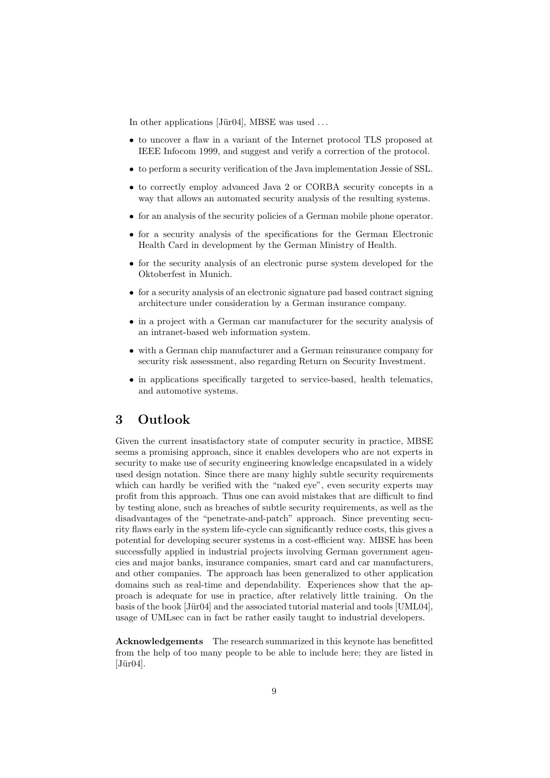In other applications [Jür04], MBSE was used  $\dots$ 

- to uncover a flaw in a variant of the Internet protocol TLS proposed at IEEE Infocom 1999, and suggest and verify a correction of the protocol.
- to perform a security verification of the Java implementation Jessie of SSL.
- to correctly employ advanced Java 2 or CORBA security concepts in a way that allows an automated security analysis of the resulting systems.
- for an analysis of the security policies of a German mobile phone operator.
- for a security analysis of the specifications for the German Electronic Health Card in development by the German Ministry of Health.
- for the security analysis of an electronic purse system developed for the Oktoberfest in Munich.
- for a security analysis of an electronic signature pad based contract signing architecture under consideration by a German insurance company.
- in a project with a German car manufacturer for the security analysis of an intranet-based web information system.
- with a German chip manufacturer and a German reinsurance company for security risk assessment, also regarding Return on Security Investment.
- in applications specifically targeted to service-based, health telematics, and automotive systems.

## 3 Outlook

Given the current insatisfactory state of computer security in practice, MBSE seems a promising approach, since it enables developers who are not experts in security to make use of security engineering knowledge encapsulated in a widely used design notation. Since there are many highly subtle security requirements which can hardly be verified with the "naked eye", even security experts may profit from this approach. Thus one can avoid mistakes that are difficult to find by testing alone, such as breaches of subtle security requirements, as well as the disadvantages of the "penetrate-and-patch" approach. Since preventing security flaws early in the system life-cycle can significantly reduce costs, this gives a potential for developing securer systems in a cost-efficient way. MBSE has been successfully applied in industrial projects involving German government agencies and major banks, insurance companies, smart card and car manufacturers, and other companies. The approach has been generalized to other application domains such as real-time and dependability. Experiences show that the approach is adequate for use in practice, after relatively little training. On the basis of the book  $[J\ddot{u}r04]$  and the associated tutorial material and tools  $[UML04]$ . usage of UMLsec can in fact be rather easily taught to industrial developers.

Acknowledgements The research summarized in this keynote has benefitted from the help of too many people to be able to include here; they are listed in  $[Jür04]$ .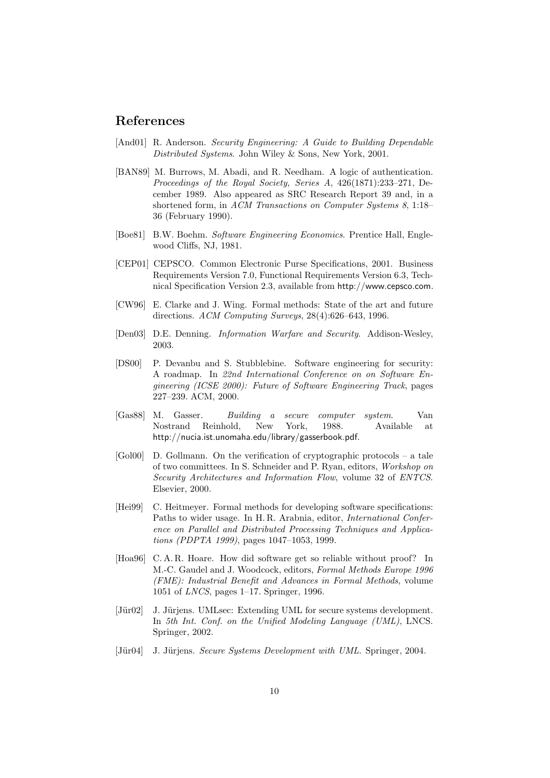## References

- [And01] R. Anderson. Security Engineering: A Guide to Building Dependable Distributed Systems. John Wiley & Sons, New York, 2001.
- [BAN89] M. Burrows, M. Abadi, and R. Needham. A logic of authentication. Proceedings of the Royal Society, Series A, 426(1871):233–271, December 1989. Also appeared as SRC Research Report 39 and, in a shortened form, in ACM Transactions on Computer Systems 8, 1:18– 36 (February 1990).
- [Boe81] B.W. Boehm. Software Engineering Economics. Prentice Hall, Englewood Cliffs, NJ, 1981.
- [CEP01] CEPSCO. Common Electronic Purse Specifications, 2001. Business Requirements Version 7.0, Functional Requirements Version 6.3, Technical Specification Version 2.3, available from http://www.cepsco.com.
- [CW96] E. Clarke and J. Wing. Formal methods: State of the art and future directions. ACM Computing Surveys, 28(4):626–643, 1996.
- [Den03] D.E. Denning. Information Warfare and Security. Addison-Wesley, 2003.
- [DS00] P. Devanbu and S. Stubblebine. Software engineering for security: A roadmap. In 22nd International Conference on on Software Engineering (ICSE 2000): Future of Software Engineering Track, pages 227–239. ACM, 2000.
- [Gas88] M. Gasser. Building a secure computer system. Van Nostrand Reinhold, New York, 1988. Available at http://nucia.ist.unomaha.edu/library/gasserbook.pdf.
- [Gol00] D. Gollmann. On the verification of cryptographic protocols a tale of two committees. In S. Schneider and P. Ryan, editors, Workshop on Security Architectures and Information Flow, volume 32 of ENTCS. Elsevier, 2000.
- [Hei99] C. Heitmeyer. Formal methods for developing software specifications: Paths to wider usage. In H. R. Arabnia, editor, International Conference on Parallel and Distributed Processing Techniques and Applications (PDPTA 1999), pages 1047–1053, 1999.
- [Hoa96] C. A. R. Hoare. How did software get so reliable without proof? In M.-C. Gaudel and J. Woodcock, editors, Formal Methods Europe 1996 (FME): Industrial Benefit and Advances in Formal Methods, volume 1051 of LNCS, pages 1–17. Springer, 1996.
- [Jür02] J. Jürjens. UMLsec: Extending UML for secure systems development. In 5th Int. Conf. on the Unified Modeling Language (UML), LNCS. Springer, 2002.
- [Jür04] J. Jürjens. Secure Systems Development with UML. Springer, 2004.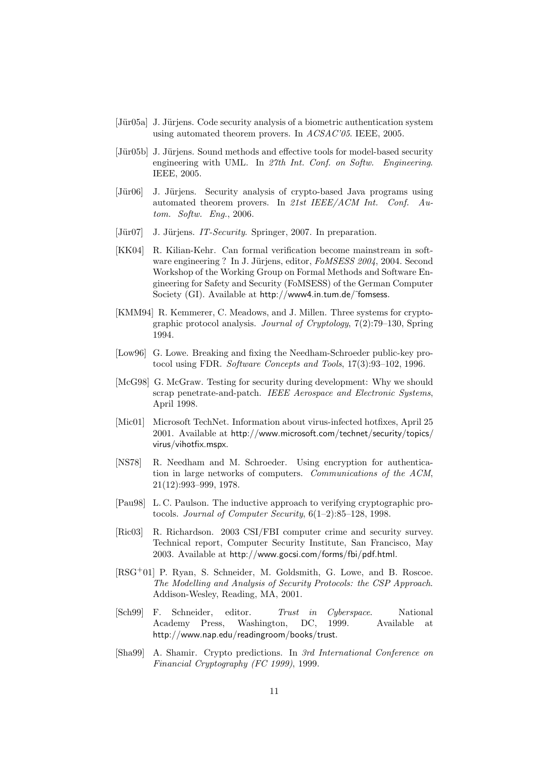- [Jür05a] J. Jürjens. Code security analysis of a biometric authentication system using automated theorem provers. In ACSAC'05. IEEE, 2005.
- [Jür05b] J. Jürjens. Sound methods and effective tools for model-based security engineering with UML. In 27th Int. Conf. on Softw. Engineering. IEEE, 2005.
- [Jür06] J. Jüriens. Security analysis of crypto-based Java programs using automated theorem provers. In 21st IEEE/ACM Int. Conf. Autom. Softw. Eng., 2006.
- $[J\ddot{u}r07]$  J. Jürjens. *IT-Security*. Springer, 2007. In preparation.
- [KK04] R. Kilian-Kehr. Can formal verification become mainstream in software engineering ? In J. Jürjens, editor, FoMSESS 2004, 2004. Second Workshop of the Working Group on Formal Methods and Software Engineering for Safety and Security (FoMSESS) of the German Computer Society (GI). Available at http://www4.in.tum.de/˜fomsess.
- [KMM94] R. Kemmerer, C. Meadows, and J. Millen. Three systems for cryptographic protocol analysis. Journal of Cryptology, 7(2):79–130, Spring 1994.
- [Low96] G. Lowe. Breaking and fixing the Needham-Schroeder public-key protocol using FDR. Software Concepts and Tools, 17(3):93–102, 1996.
- [McG98] G. McGraw. Testing for security during development: Why we should scrap penetrate-and-patch. IEEE Aerospace and Electronic Systems, April 1998.
- [Mic01] Microsoft TechNet. Information about virus-infected hotfixes, April 25 2001. Available at http://www.microsoft.com/technet/security/topics/ virus/vihotfix.mspx.
- [NS78] R. Needham and M. Schroeder. Using encryption for authentication in large networks of computers. Communications of the ACM, 21(12):993–999, 1978.
- [Pau98] L. C. Paulson. The inductive approach to verifying cryptographic protocols. Journal of Computer Security, 6(1–2):85–128, 1998.
- [Ric03] R. Richardson. 2003 CSI/FBI computer crime and security survey. Technical report, Computer Security Institute, San Francisco, May 2003. Available at http://www.gocsi.com/forms/fbi/pdf.html.
- [RSG<sup>+</sup>01] P. Ryan, S. Schneider, M. Goldsmith, G. Lowe, and B. Roscoe. The Modelling and Analysis of Security Protocols: the CSP Approach. Addison-Wesley, Reading, MA, 2001.
- [Sch99] F. Schneider, editor. Trust in Cyberspace. National Academy Press, Washington, DC, 1999. Available at http://www.nap.edu/readingroom/books/trust.
- [Sha99] A. Shamir. Crypto predictions. In 3rd International Conference on Financial Cryptography (FC 1999), 1999.